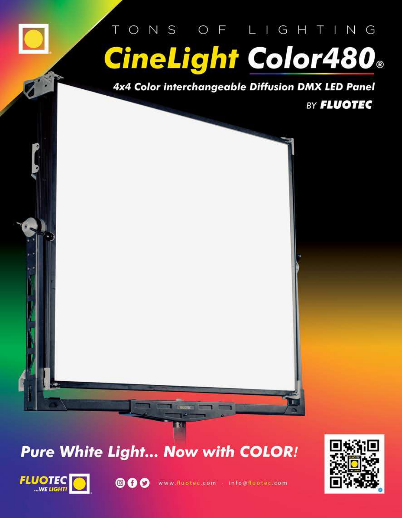# ONS OF LIGHTING **CineLight Color480**®

4x4 Color interchangeable Diffusion DMX LED Panel

BY **FLUOTEC** 



# **Pure White Light... Now with COLOR!**



◎ ◎ ◎ www.fluotec.com info@fluotec.com